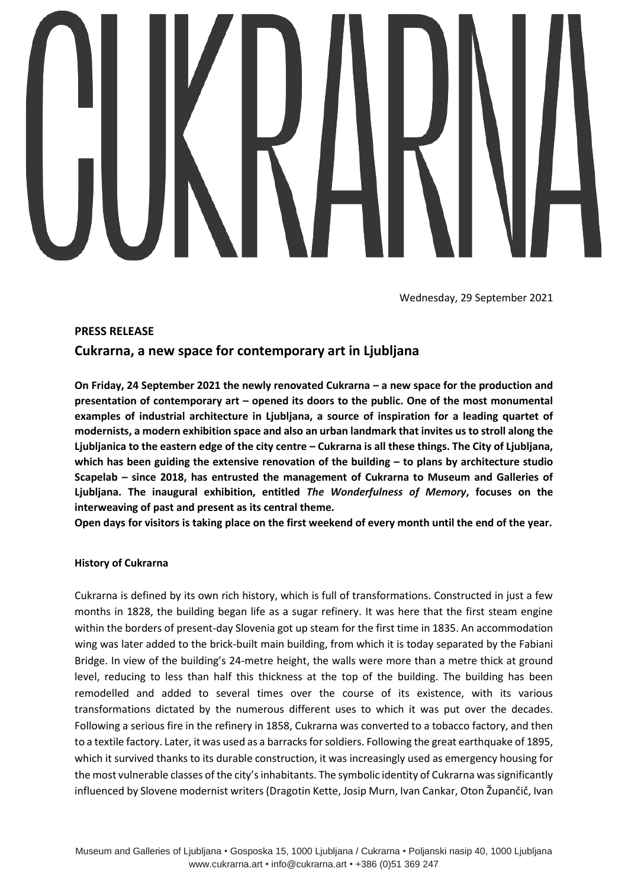Wednesday, 29 September 2021

# **PRESS RELEASE**

# **Cukrarna, a new space for contemporary art in Ljubljana**

**On Friday, 24 September 2021 the newly renovated Cukrarna – a new space for the production and presentation of contemporary art – opened its doors to the public. One of the most monumental examples of industrial architecture in Ljubljana, a source of inspiration for a leading quartet of modernists, a modern exhibition space and also an urban landmark that invites us to stroll along the Ljubljanica to the eastern edge of the city centre – Cukrarna is all these things. The City of Ljubljana, which has been guiding the extensive renovation of the building – to plans by architecture studio Scapelab – since 2018, has entrusted the management of Cukrarna to Museum and Galleries of Ljubljana. The inaugural exhibition, entitled** *The Wonderfulness of Memory***, focuses on the interweaving of past and present as its central theme.** 

**Open days for visitors is taking place on the first weekend of every month until the end of the year.**

## **History of Cukrarna**

Cukrarna is defined by its own rich history, which is full of transformations. Constructed in just a few months in 1828, the building began life as a sugar refinery. It was here that the first steam engine within the borders of present-day Slovenia got up steam for the first time in 1835. An accommodation wing was later added to the brick-built main building, from which it is today separated by the Fabiani Bridge. In view of the building's 24-metre height, the walls were more than a metre thick at ground level, reducing to less than half this thickness at the top of the building. The building has been remodelled and added to several times over the course of its existence, with its various transformations dictated by the numerous different uses to which it was put over the decades. Following a serious fire in the refinery in 1858, Cukrarna was converted to a tobacco factory, and then to a textile factory. Later, it was used as a barracks for soldiers. Following the great earthquake of 1895, which it survived thanks to its durable construction, it was increasingly used as emergency housing for the most vulnerable classes of the city's inhabitants. The symbolic identity of Cukrarna was significantly influenced by Slovene modernist writers (Dragotin Kette, Josip Murn, Ivan Cankar, Oton Župančič, Ivan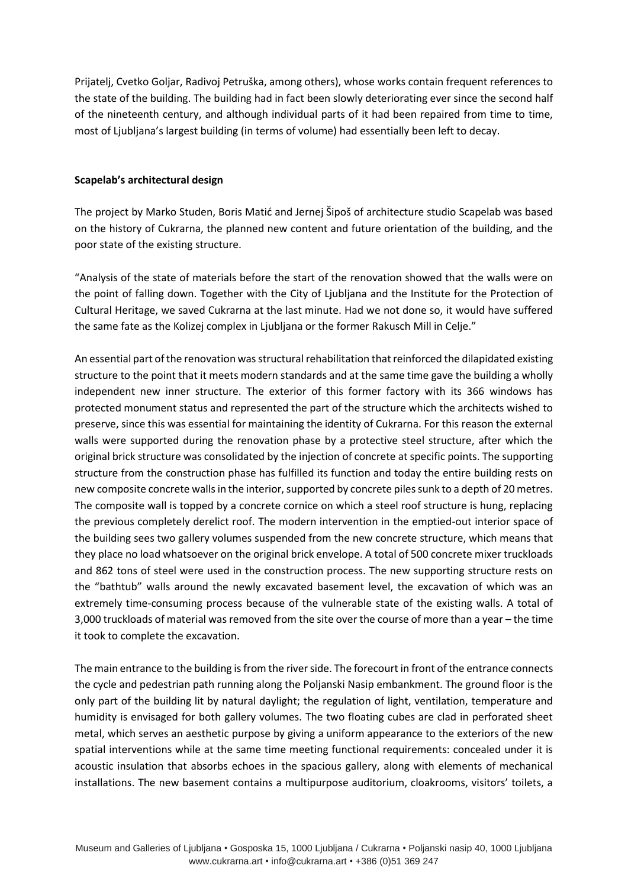Prijatelj, Cvetko Goljar, Radivoj Petruška, among others), whose works contain frequent references to the state of the building. The building had in fact been slowly deteriorating ever since the second half of the nineteenth century, and although individual parts of it had been repaired from time to time, most of Ljubljana's largest building (in terms of volume) had essentially been left to decay.

# **Scapelab's architectural design**

The project by Marko Studen, Boris Matić and Jernej Šipoš of architecture studio Scapelab was based on the history of Cukrarna, the planned new content and future orientation of the building, and the poor state of the existing structure.

"Analysis of the state of materials before the start of the renovation showed that the walls were on the point of falling down. Together with the City of Ljubljana and the Institute for the Protection of Cultural Heritage, we saved Cukrarna at the last minute. Had we not done so, it would have suffered the same fate as the Kolizej complex in Ljubljana or the former Rakusch Mill in Celje."

An essential part of the renovation was structural rehabilitation that reinforced the dilapidated existing structure to the point that it meets modern standards and at the same time gave the building a wholly independent new inner structure. The exterior of this former factory with its 366 windows has protected monument status and represented the part of the structure which the architects wished to preserve, since this was essential for maintaining the identity of Cukrarna. For this reason the external walls were supported during the renovation phase by a protective steel structure, after which the original brick structure was consolidated by the injection of concrete at specific points. The supporting structure from the construction phase has fulfilled its function and today the entire building rests on new composite concrete walls in the interior, supported by concrete piles sunk to a depth of 20 metres. The composite wall is topped by a concrete cornice on which a steel roof structure is hung, replacing the previous completely derelict roof. The modern intervention in the emptied-out interior space of the building sees two gallery volumes suspended from the new concrete structure, which means that they place no load whatsoever on the original brick envelope. A total of 500 concrete mixer truckloads and 862 tons of steel were used in the construction process. The new supporting structure rests on the "bathtub" walls around the newly excavated basement level, the excavation of which was an extremely time-consuming process because of the vulnerable state of the existing walls. A total of 3,000 truckloads of material was removed from the site over the course of more than a year – the time it took to complete the excavation.

The main entrance to the building is from the river side. The forecourt in front of the entrance connects the cycle and pedestrian path running along the Poljanski Nasip embankment. The ground floor is the only part of the building lit by natural daylight; the regulation of light, ventilation, temperature and humidity is envisaged for both gallery volumes. The two floating cubes are clad in perforated sheet metal, which serves an aesthetic purpose by giving a uniform appearance to the exteriors of the new spatial interventions while at the same time meeting functional requirements: concealed under it is acoustic insulation that absorbs echoes in the spacious gallery, along with elements of mechanical installations. The new basement contains a multipurpose auditorium, cloakrooms, visitors' toilets, a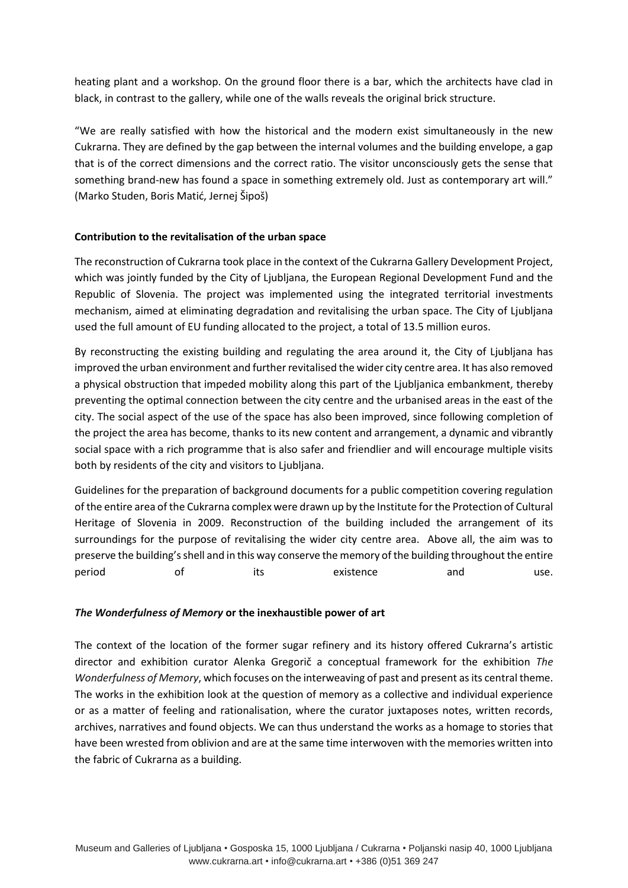heating plant and a workshop. On the ground floor there is a bar, which the architects have clad in black, in contrast to the gallery, while one of the walls reveals the original brick structure.

"We are really satisfied with how the historical and the modern exist simultaneously in the new Cukrarna. They are defined by the gap between the internal volumes and the building envelope, a gap that is of the correct dimensions and the correct ratio. The visitor unconsciously gets the sense that something brand-new has found a space in something extremely old. Just as contemporary art will." (Marko Studen, Boris Matić, Jernej Šipoš)

# **Contribution to the revitalisation of the urban space**

The reconstruction of Cukrarna took place in the context of the Cukrarna Gallery Development Project, which was jointly funded by the City of Ljubljana, the European Regional Development Fund and the Republic of Slovenia. The project was implemented using the integrated territorial investments mechanism, aimed at eliminating degradation and revitalising the urban space. The City of Ljubljana used the full amount of EU funding allocated to the project, a total of 13.5 million euros.

By reconstructing the existing building and regulating the area around it, the City of Ljubljana has improved the urban environment and further revitalised the wider city centre area. It has also removed a physical obstruction that impeded mobility along this part of the Ljubljanica embankment, thereby preventing the optimal connection between the city centre and the urbanised areas in the east of the city. The social aspect of the use of the space has also been improved, since following completion of the project the area has become, thanks to its new content and arrangement, a dynamic and vibrantly social space with a rich programme that is also safer and friendlier and will encourage multiple visits both by residents of the city and visitors to Ljubljana.

Guidelines for the preparation of background documents for a public competition covering regulation of the entire area of the Cukrarna complex were drawn up by the Institute for the Protection of Cultural Heritage of Slovenia in 2009. Reconstruction of the building included the arrangement of its surroundings for the purpose of revitalising the wider city centre area. Above all, the aim was to preserve the building's shell and in this way conserve the memory of the building throughout the entire period of its existence and use.

## *The Wonderfulness of Memory* **or the inexhaustible power of art**

The context of the location of the former sugar refinery and its history offered Cukrarna's artistic director and exhibition curator Alenka Gregorič a conceptual framework for the exhibition *The Wonderfulness of Memory*, which focuses on the interweaving of past and present as its central theme. The works in the exhibition look at the question of memory as a collective and individual experience or as a matter of feeling and rationalisation, where the curator juxtaposes notes, written records, archives, narratives and found objects. We can thus understand the works as a homage to stories that have been wrested from oblivion and are at the same time interwoven with the memories written into the fabric of Cukrarna as a building.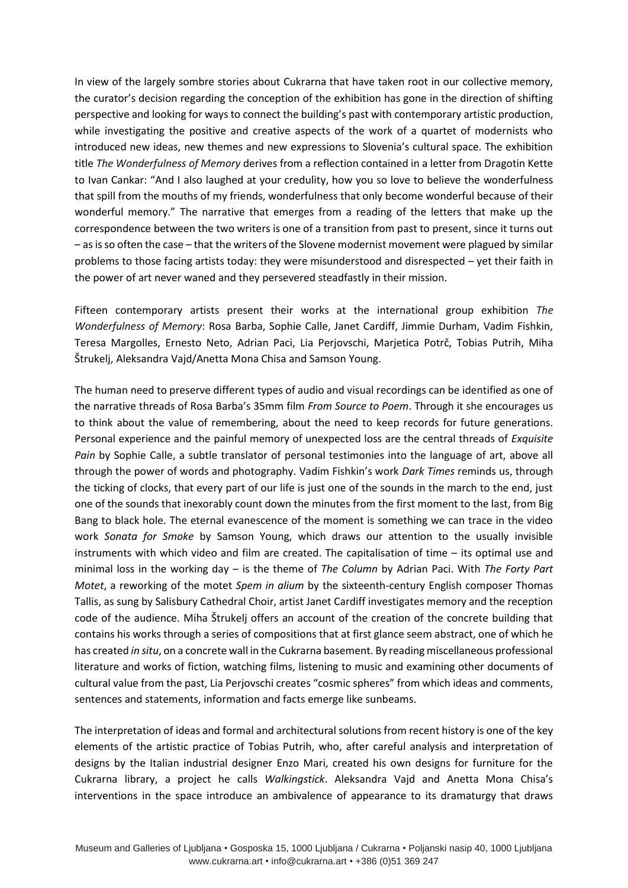In view of the largely sombre stories about Cukrarna that have taken root in our collective memory, the curator's decision regarding the conception of the exhibition has gone in the direction of shifting perspective and looking for ways to connect the building's past with contemporary artistic production, while investigating the positive and creative aspects of the work of a quartet of modernists who introduced new ideas, new themes and new expressions to Slovenia's cultural space. The exhibition title *The Wonderfulness of Memory* derives from a reflection contained in a letter from Dragotin Kette to Ivan Cankar: "And I also laughed at your credulity, how you so love to believe the wonderfulness that spill from the mouths of my friends, wonderfulness that only become wonderful because of their wonderful memory." The narrative that emerges from a reading of the letters that make up the correspondence between the two writers is one of a transition from past to present, since it turns out – as is so often the case – that the writers of the Slovene modernist movement were plagued by similar problems to those facing artists today: they were misunderstood and disrespected – yet their faith in the power of art never waned and they persevered steadfastly in their mission.

Fifteen contemporary artists present their works at the international group exhibition *The Wonderfulness of Memory*: Rosa Barba, Sophie Calle, Janet Cardiff, Jimmie Durham, Vadim Fishkin, Teresa Margolles, Ernesto Neto, Adrian Paci, Lia Perjovschi, Marjetica Potrč, Tobias Putrih, Miha Štrukelj, Aleksandra Vajd/Anetta Mona Chisa and Samson Young.

The human need to preserve different types of audio and visual recordings can be identified as one of the narrative threads of Rosa Barba's 35mm film *From Source to Poem*. Through it she encourages us to think about the value of remembering, about the need to keep records for future generations. Personal experience and the painful memory of unexpected loss are the central threads of *Exquisite Pain* by Sophie Calle, a subtle translator of personal testimonies into the language of art, above all through the power of words and photography. Vadim Fishkin's work *Dark Times* reminds us, through the ticking of clocks, that every part of our life is just one of the sounds in the march to the end, just one of the sounds that inexorably count down the minutes from the first moment to the last, from Big Bang to black hole. The eternal evanescence of the moment is something we can trace in the video work *Sonata for Smoke* by Samson Young, which draws our attention to the usually invisible instruments with which video and film are created. The capitalisation of time – its optimal use and minimal loss in the working day – is the theme of *The Column* by Adrian Paci. With *The Forty Part Motet*, a reworking of the motet *Spem in alium* by the sixteenth-century English composer Thomas Tallis, as sung by Salisbury Cathedral Choir, artist Janet Cardiff investigates memory and the reception code of the audience. Miha Štrukelj offers an account of the creation of the concrete building that contains his works through a series of compositions that at first glance seem abstract, one of which he has created *in situ*, on a concrete wall in the Cukrarna basement. By reading miscellaneous professional literature and works of fiction, watching films, listening to music and examining other documents of cultural value from the past, Lia Perjovschi creates "cosmic spheres" from which ideas and comments, sentences and statements, information and facts emerge like sunbeams.

The interpretation of ideas and formal and architectural solutions from recent history is one of the key elements of the artistic practice of Tobias Putrih, who, after careful analysis and interpretation of designs by the Italian industrial designer Enzo Mari, created his own designs for furniture for the Cukrarna library, a project he calls *Walkingstick*. Aleksandra Vajd and Anetta Mona Chisa's interventions in the space introduce an ambivalence of appearance to its dramaturgy that draws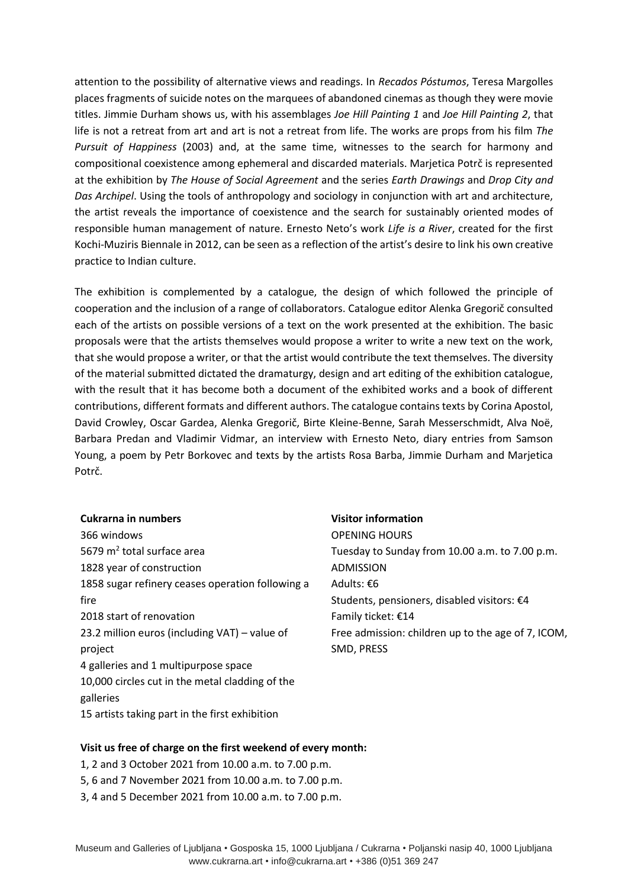attention to the possibility of alternative views and readings. In *Recados Póstumos*, Teresa Margolles places fragments of suicide notes on the marquees of abandoned cinemas as though they were movie titles. Jimmie Durham shows us, with his assemblages *Joe Hill Painting 1* and *Joe Hill Painting 2*, that life is not a retreat from art and art is not a retreat from life. The works are props from his film *The Pursuit of Happiness* (2003) and, at the same time, witnesses to the search for harmony and compositional coexistence among ephemeral and discarded materials. Marjetica Potrč is represented at the exhibition by *The House of Social Agreement* and the series *Earth Drawings* and *Drop City and Das Archipel*. Using the tools of anthropology and sociology in conjunction with art and architecture, the artist reveals the importance of coexistence and the search for sustainably oriented modes of responsible human management of nature. Ernesto Neto's work *Life is a River*, created for the first Kochi-Muziris Biennale in 2012, can be seen as a reflection of the artist's desire to link his own creative practice to Indian culture.

The exhibition is complemented by a catalogue, the design of which followed the principle of cooperation and the inclusion of a range of collaborators. Catalogue editor Alenka Gregorič consulted each of the artists on possible versions of a text on the work presented at the exhibition. The basic proposals were that the artists themselves would propose a writer to write a new text on the work, that she would propose a writer, or that the artist would contribute the text themselves. The diversity of the material submitted dictated the dramaturgy, design and art editing of the exhibition catalogue, with the result that it has become both a document of the exhibited works and a book of different contributions, different formats and different authors. The catalogue contains texts by Corina Apostol, David Crowley, Oscar Gardea, Alenka Gregorič, Birte Kleine-Benne, Sarah Messerschmidt, Alva Noë, Barbara Predan and Vladimir Vidmar, an interview with Ernesto Neto, diary entries from Samson Young, a poem by Petr Borkovec and texts by the artists Rosa Barba, Jimmie Durham and Marjetica Potrč.

#### **Cukrarna in numbers**

366 windows 5679 m<sup>2</sup> total surface area 1828 year of construction 1858 sugar refinery ceases operation following a fire 2018 start of renovation 23.2 million euros (including VAT) – value of project 4 galleries and 1 multipurpose space 10,000 circles cut in the metal cladding of the galleries 15 artists taking part in the first exhibition

#### **Visitor information**

OPENING HOURS Tuesday to Sunday from 10.00 a.m. to 7.00 p.m. ADMISSION Adults: €6 Students, pensioners, disabled visitors: €4 Family ticket: €14 Free admission: children up to the age of 7, ICOM, SMD, PRESS

## **Visit us free of charge on the first weekend of every month:**

- 1, 2 and 3 October 2021 from 10.00 a.m. to 7.00 p.m.
- 5, 6 and 7 November 2021 from 10.00 a.m. to 7.00 p.m.
- 3, 4 and 5 December 2021 from 10.00 a.m. to 7.00 p.m.